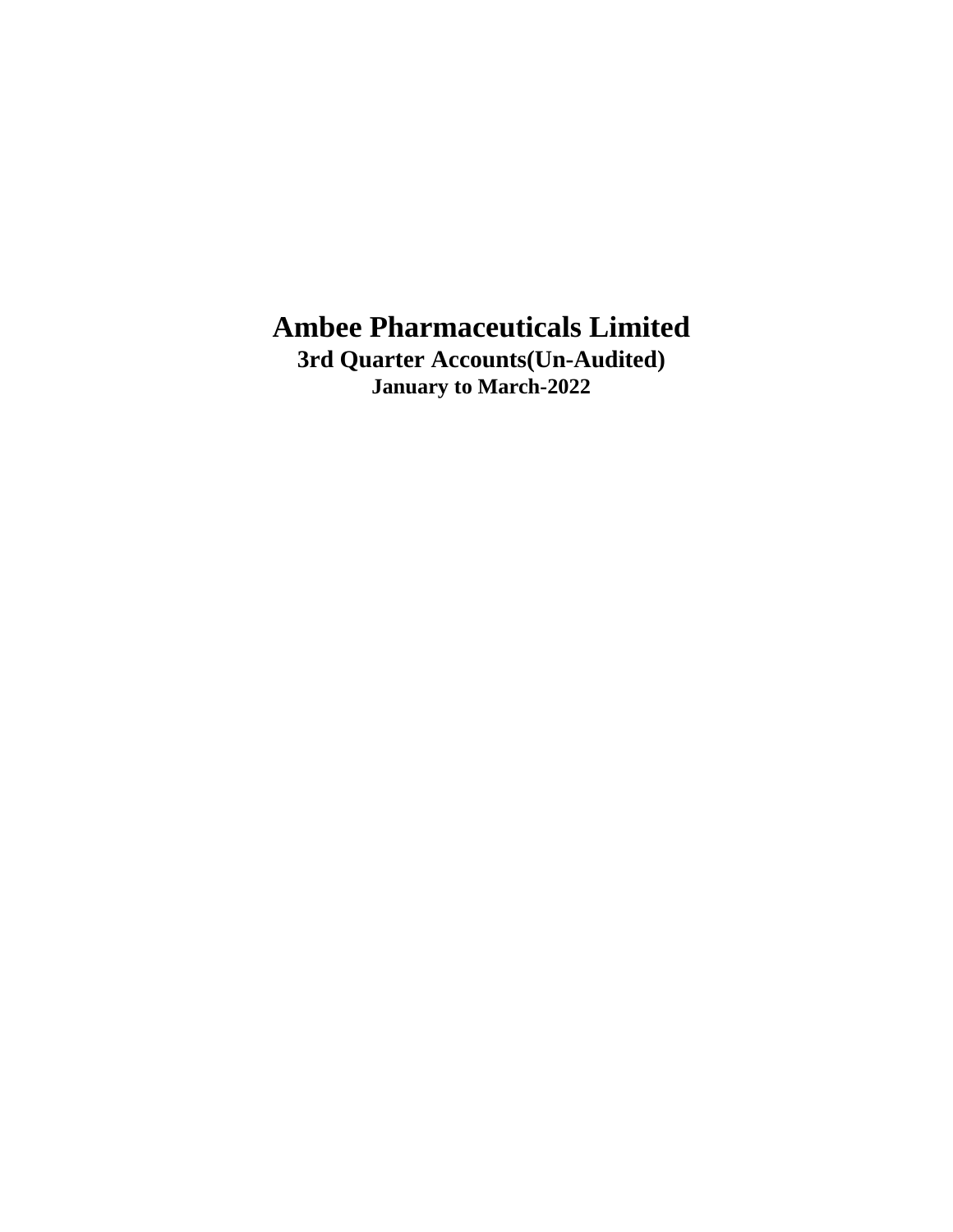**3rd Quarter Accounts(Un-Audited) January to March-2022**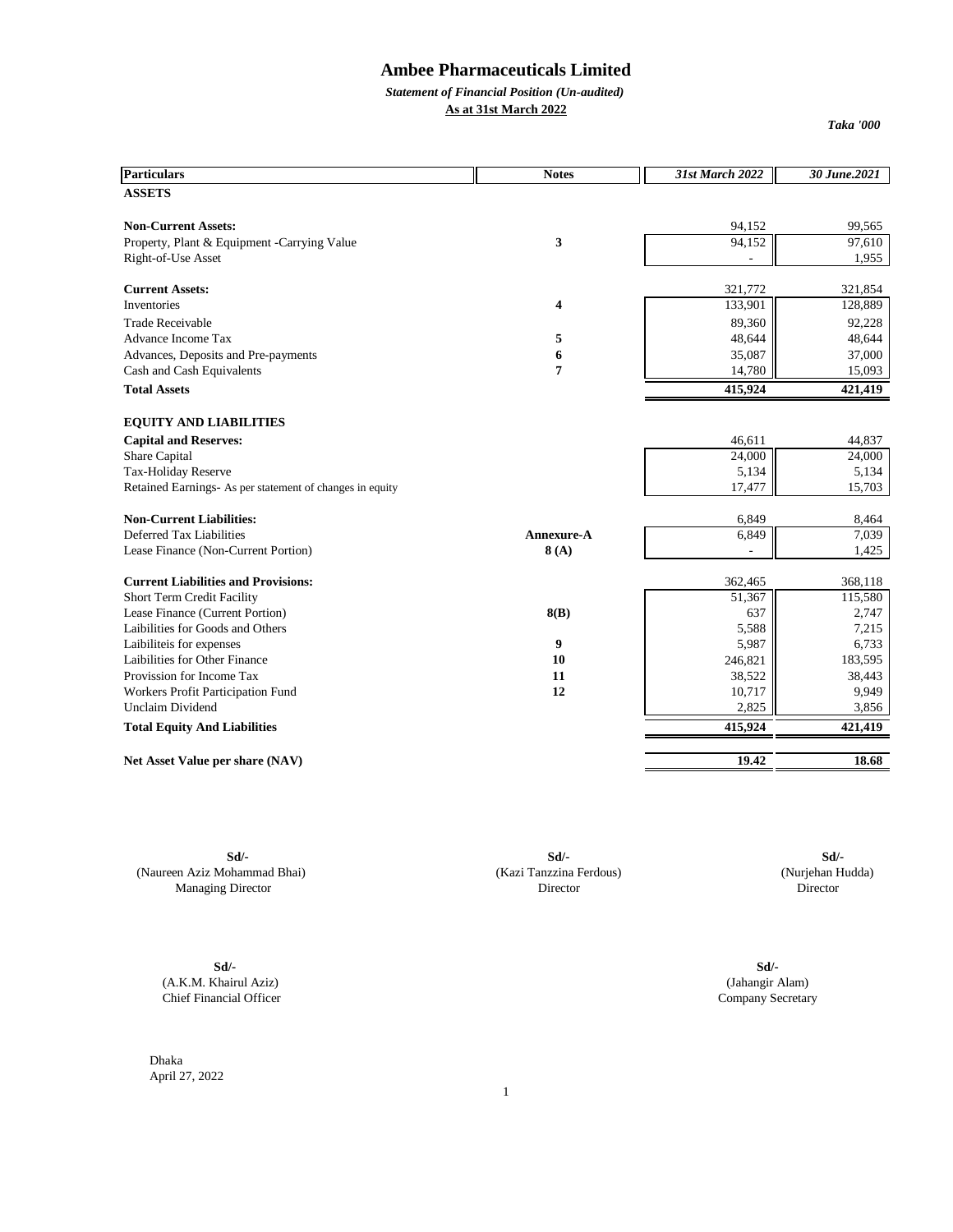*Statement of Financial Position (Un-audited)* **As at 31st March 2022**

*Taka '000*

| <b>Particulars</b>                                       | <b>Notes</b>   | 31st March 2022 | 30 June.2021 |
|----------------------------------------------------------|----------------|-----------------|--------------|
| <b>ASSETS</b>                                            |                |                 |              |
| <b>Non-Current Assets:</b>                               |                | 94,152          | 99,565       |
| Property, Plant & Equipment -Carrying Value              | 3              | 94,152          | 97,610       |
| Right-of-Use Asset                                       |                |                 | 1,955        |
|                                                          |                |                 |              |
| <b>Current Assets:</b>                                   |                | 321,772         | 321,854      |
| Inventories                                              | 4              | 133,901         | 128,889      |
| <b>Trade Receivable</b>                                  |                | 89,360          | 92,228       |
| Advance Income Tax                                       | 5              | 48,644          | 48,644       |
| Advances, Deposits and Pre-payments                      | 6              | 35,087          | 37,000       |
| Cash and Cash Equivalents                                | $\overline{7}$ | 14,780          | 15,093       |
| <b>Total Assets</b>                                      |                | 415,924         | 421,419      |
| <b>EQUITY AND LIABILITIES</b>                            |                |                 |              |
| <b>Capital and Reserves:</b>                             |                | 46,611          | 44,837       |
| Share Capital                                            |                | 24,000          | 24,000       |
| Tax-Holiday Reserve                                      |                | 5,134           | 5,134        |
| Retained Earnings- As per statement of changes in equity |                | 17,477          | 15,703       |
|                                                          |                |                 |              |
| <b>Non-Current Liabilities:</b>                          |                | 6,849           | 8,464        |
| Deferred Tax Liabilities                                 | Annexure-A     | 6,849           | 7,039        |
| Lease Finance (Non-Current Portion)                      | 8(A)           |                 | 1,425        |
| <b>Current Liabilities and Provisions:</b>               |                | 362,465         | 368,118      |
| Short Term Credit Facility                               |                | 51,367          | 115,580      |
| Lease Finance (Current Portion)                          | 8(B)           | 637             | 2,747        |
| Laibilities for Goods and Others                         |                | 5,588           | 7,215        |
| Laibiliteis for expenses                                 | 9              | 5,987           | 6,733        |
| Laibilities for Other Finance                            | 10             | 246,821         | 183,595      |
| Provission for Income Tax                                | 11             | 38,522          | 38,443       |
| Workers Profit Participation Fund                        | 12             | 10,717          | 9,949        |
| <b>Unclaim Dividend</b>                                  |                | 2,825           | 3,856        |
| <b>Total Equity And Liabilities</b>                      |                | 415,924         | 421,419      |
|                                                          |                |                 |              |
| Net Asset Value per share (NAV)                          |                | 19.42           | 18.68        |

(Naureen Aziz Mohammad Bhai) (Kazi Tanzzina Ferdous) (Nurjehan Hudda) Managing Director Director Director Director Director

**Sd/-** (A.K.M. Khairul Aziz) Chief Financial Officer

**Sd/- Sd/- Sd/-**

Company Secretary (Jahangir Alam) **Sd/-**

Dhaka April 27, 2022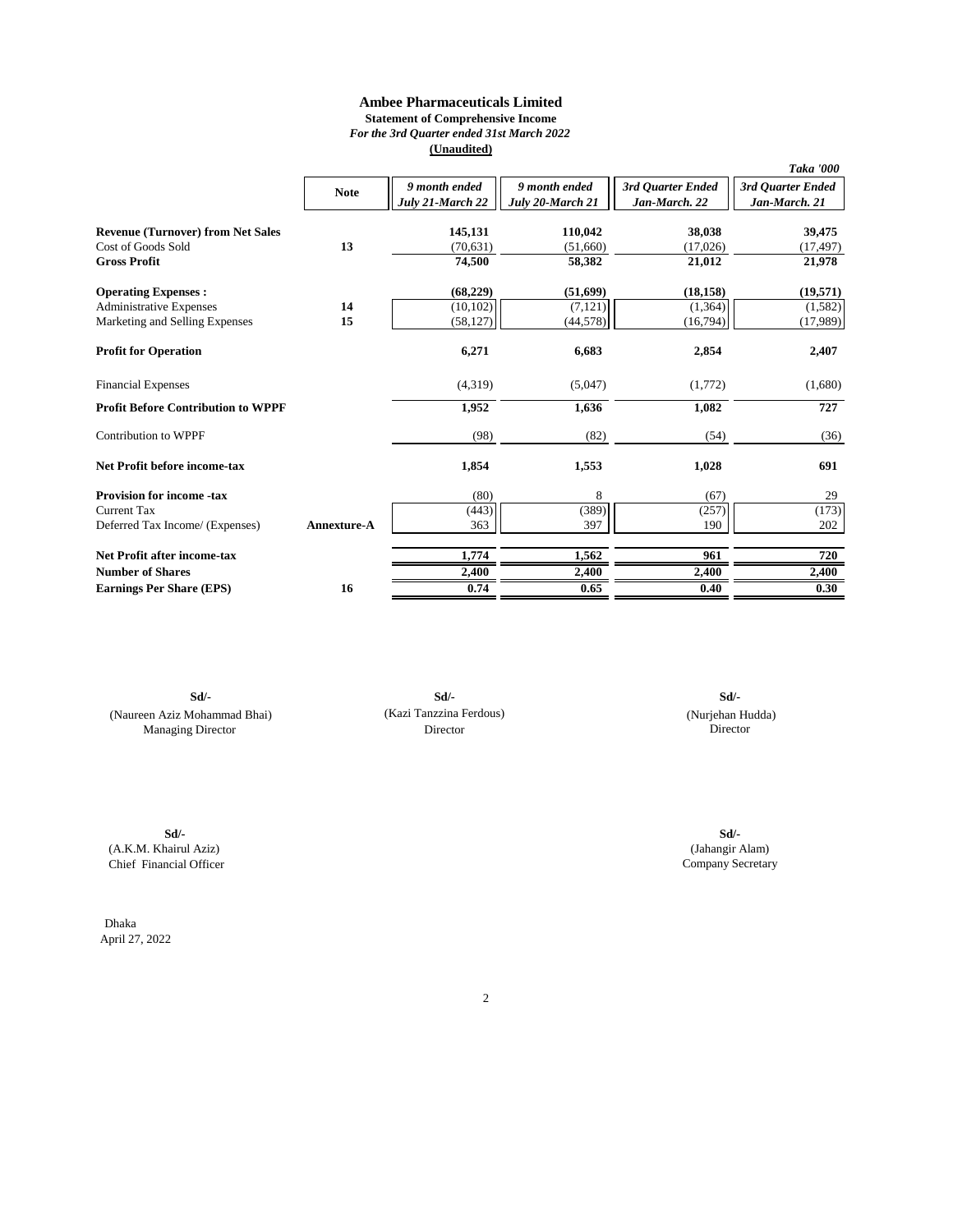### **Ambee Pharmaceuticals Limited Statement of Comprehensive Income** *For the 3rd Quarter ended 31st March 2022*

**(Unaudited)**

|                                           |                    |                  |                  |                   | Taka '000         |
|-------------------------------------------|--------------------|------------------|------------------|-------------------|-------------------|
|                                           | <b>Note</b>        | 9 month ended    | 9 month ended    | 3rd Ouarter Ended | 3rd Quarter Ended |
|                                           |                    | July 21-March 22 | July 20-March 21 | Jan-March. 22     | Jan-March. 21     |
|                                           |                    |                  |                  |                   |                   |
| <b>Revenue (Turnover) from Net Sales</b>  |                    | 145,131          | 110,042          | 38,038            | 39,475            |
| Cost of Goods Sold                        | 13                 | (70, 631)        | (51,660)         | (17,026)          | (17, 497)         |
| <b>Gross Profit</b>                       |                    | 74,500           | 58,382           | 21,012            | 21,978            |
| <b>Operating Expenses:</b>                |                    | (68,229)         | (51,699)         | (18, 158)         | (19,571)          |
| <b>Administrative Expenses</b>            | 14                 | (10, 102)        | (7, 121)         | (1, 364)          | (1,582)           |
| Marketing and Selling Expenses            | 15                 | (58, 127)        | (44, 578)        | (16,794)          | (17,989)          |
| <b>Profit for Operation</b>               |                    | 6,271            | 6,683            | 2,854             | 2,407             |
| <b>Financial Expenses</b>                 |                    | (4,319)          | (5,047)          | (1,772)           | (1,680)           |
| <b>Profit Before Contribution to WPPF</b> |                    | 1,952            | 1,636            | 1,082             | 727               |
| Contribution to WPPF                      |                    | (98)             | (82)             | (54)              | (36)              |
| <b>Net Profit before income-tax</b>       |                    | 1,854            | 1,553            | 1,028             | 691               |
| <b>Provision for income -tax</b>          |                    | (80)             | 8                | (67)              | 29                |
| <b>Current Tax</b>                        |                    | (443)            | (389)            | (257)             | (173)             |
| Deferred Tax Income/ (Expenses)           | <b>Annexture-A</b> | 363              | 397              | 190               | 202               |
| Net Profit after income-tax               |                    | 1,774            | 1,562            | 961               | 720               |
| <b>Number of Shares</b>                   |                    | 2,400            | 2,400            | 2,400             | 2,400             |
| <b>Earnings Per Share (EPS)</b>           | 16                 | 0.74             | 0.65             | 0.40              | 0.30              |

**Sd/- Sd/-** (Naureen Aziz Mohammad Bhai) (Nurjehan Hudda) Managing Director

(Kazi Tanzzina Ferdous) Director

**Sd/-**

**Sd/-** (A.K.M. Khairul Aziz) Chief Financial Officer

Dhaka April 27, 2022 Company Secretary (Jahangir Alam) **Sd/-**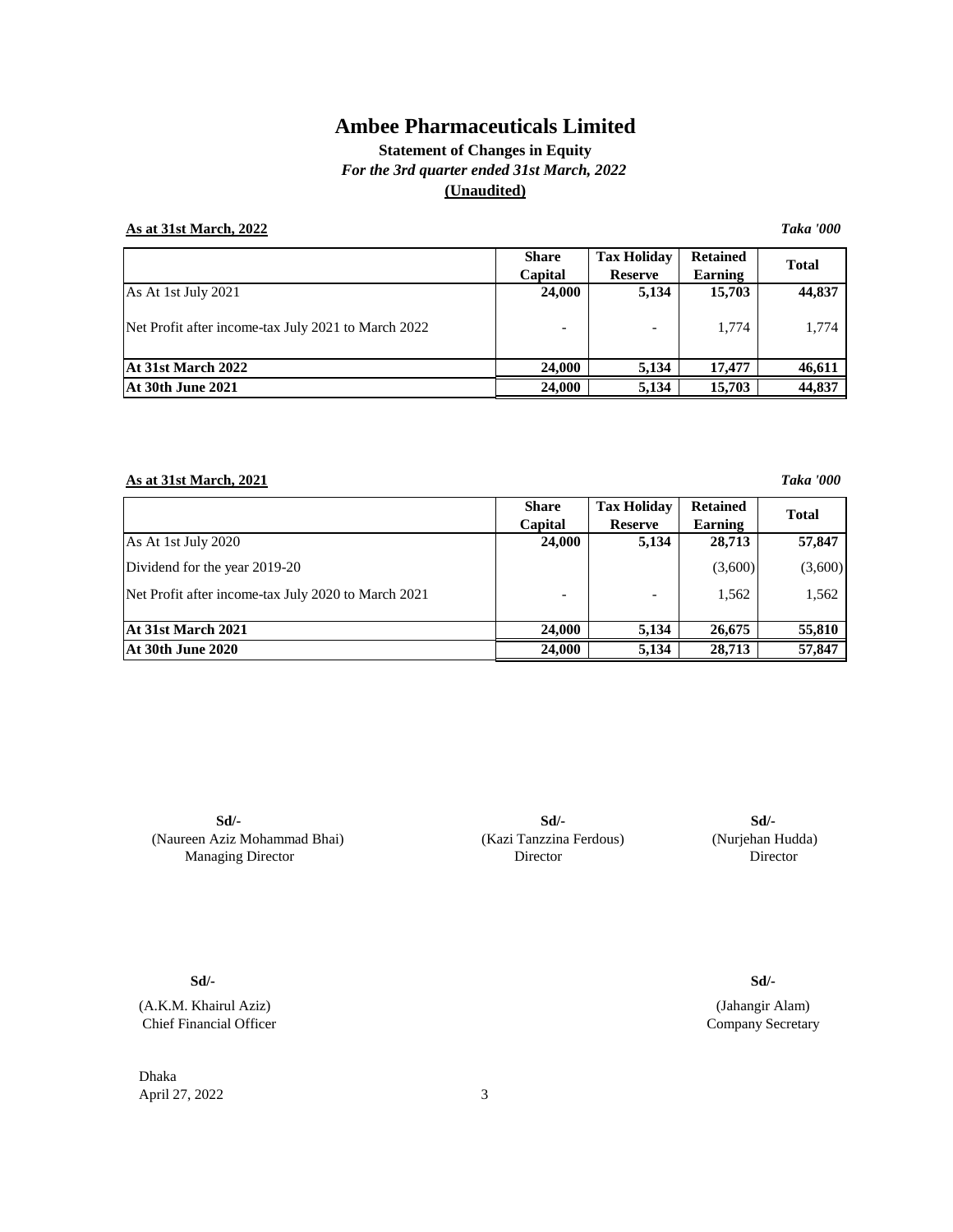## **Statement of Changes in Equity** *For the 3rd quarter ended 31st March, 2022* **(Unaudited)**

## **As at 31st March, 2022** *Taka '000*

|                                                     | <b>Share</b><br>Capital | <b>Tax Holidav</b><br><b>Reserve</b> | <b>Retained</b><br>Earning | <b>Total</b> |
|-----------------------------------------------------|-------------------------|--------------------------------------|----------------------------|--------------|
| As At 1st July 2021                                 | 24,000                  | 5,134                                | 15,703                     | 44,837       |
| Net Profit after income-tax July 2021 to March 2022 |                         |                                      | 1.774                      | 1,774        |
| At 31st March 2022                                  | 24,000                  | 5.134                                | 17.477                     | 46,611       |
| At 30th June 2021                                   | 24,000                  | 5,134                                | 15,703                     | 44,837       |

### **As at 31st March, 2021** *Taka '000*

|                                                     | <b>Share</b><br>Capital | <b>Tax Holidav</b><br><b>Reserve</b> | <b>Retained</b><br>Earning | <b>Total</b> |
|-----------------------------------------------------|-------------------------|--------------------------------------|----------------------------|--------------|
| As At 1st July 2020                                 | 24,000                  | 5,134                                | 28,713                     | 57,847       |
| Dividend for the year 2019-20                       |                         |                                      | (3,600)                    | (3,600)      |
| Net Profit after income-tax July 2020 to March 2021 |                         |                                      | 1,562                      | 1,562        |
| At 31st March 2021                                  | 24,000                  | 5,134                                | 26,675                     | 55,810       |
| <b>At 30th June 2020</b>                            | 24,000                  | 5,134                                | 28,713                     | 57,847       |

**Sd/-** (Naureen Aziz Mohammad Bhai) Managing Director

(Kazi Tanzzina Ferdous) (Nurjehan Hudda) **Sd/- Sd/-** Director

**Sd/-**

(A.K.M. Khairul Aziz) Chief Financial Officer

Dhaka April 27, 2022 3

**Sd/-**

Company Secretary (Jahangir Alam)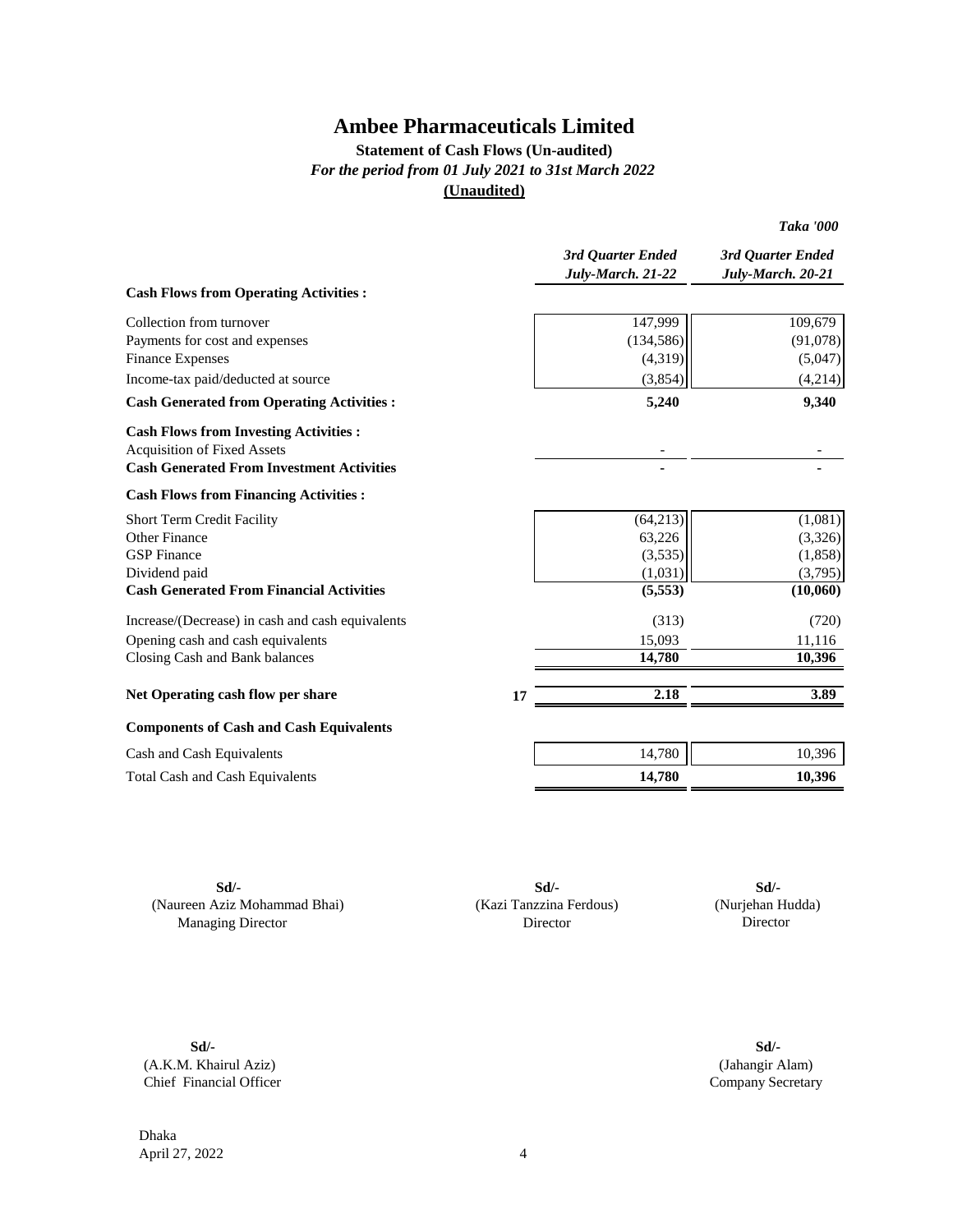## **Statement of Cash Flows (Un-audited)** *For the period from 01 July 2021 to 31st March 2022* **(Unaudited)**

|                                                   |    | 3rd Quarter Ended<br>July-March. 21-22 | 3rd Quarter Ended<br>July-March. 20-21 |
|---------------------------------------------------|----|----------------------------------------|----------------------------------------|
| <b>Cash Flows from Operating Activities:</b>      |    |                                        |                                        |
| Collection from turnover                          |    | 147,999                                | 109,679                                |
| Payments for cost and expenses                    |    | (134, 586)                             | (91,078)                               |
| <b>Finance Expenses</b>                           |    | (4,319)                                | (5,047)                                |
| Income-tax paid/deducted at source                |    | (3,854)                                | (4,214)                                |
| <b>Cash Generated from Operating Activities :</b> |    | 5,240                                  | 9,340                                  |
| <b>Cash Flows from Investing Activities:</b>      |    |                                        |                                        |
| <b>Acquisition of Fixed Assets</b>                |    |                                        |                                        |
| <b>Cash Generated From Investment Activities</b>  |    |                                        |                                        |
| <b>Cash Flows from Financing Activities:</b>      |    |                                        |                                        |
| <b>Short Term Credit Facility</b>                 |    | (64, 213)                              | (1,081)                                |
| Other Finance                                     |    | 63,226                                 | (3,326)                                |
| <b>GSP</b> Finance                                |    | (3,535)                                | (1,858)                                |
| Dividend paid                                     |    | (1,031)                                | (3,795)                                |
| <b>Cash Generated From Financial Activities</b>   |    | (5,553)                                | (10,060)                               |
| Increase/(Decrease) in cash and cash equivalents  |    | (313)                                  | (720)                                  |
| Opening cash and cash equivalents                 |    | 15,093                                 | 11,116                                 |
| Closing Cash and Bank balances                    |    | 14,780                                 | 10,396                                 |
| Net Operating cash flow per share                 | 17 | 2.18                                   | 3.89                                   |
| <b>Components of Cash and Cash Equivalents</b>    |    |                                        |                                        |
| Cash and Cash Equivalents                         |    | 14,780                                 | 10,396                                 |
| <b>Total Cash and Cash Equivalents</b>            |    | 14,780                                 | 10,396                                 |
|                                                   |    |                                        |                                        |

(Naureen Aziz Mohammad Bhai) Managing Director

**Sd/- Sd/-** (Kazi Tanzzina Ferdous) Director **Sd/-**

 (Nurjehan Hudda) Director

*Taka '000*

**Sd/- Sd/-** (A.K.M. Khairul Aziz) Chief Financial Officer

(Jahangir Alam) Company Secretary

Dhaka April 27, 2022 4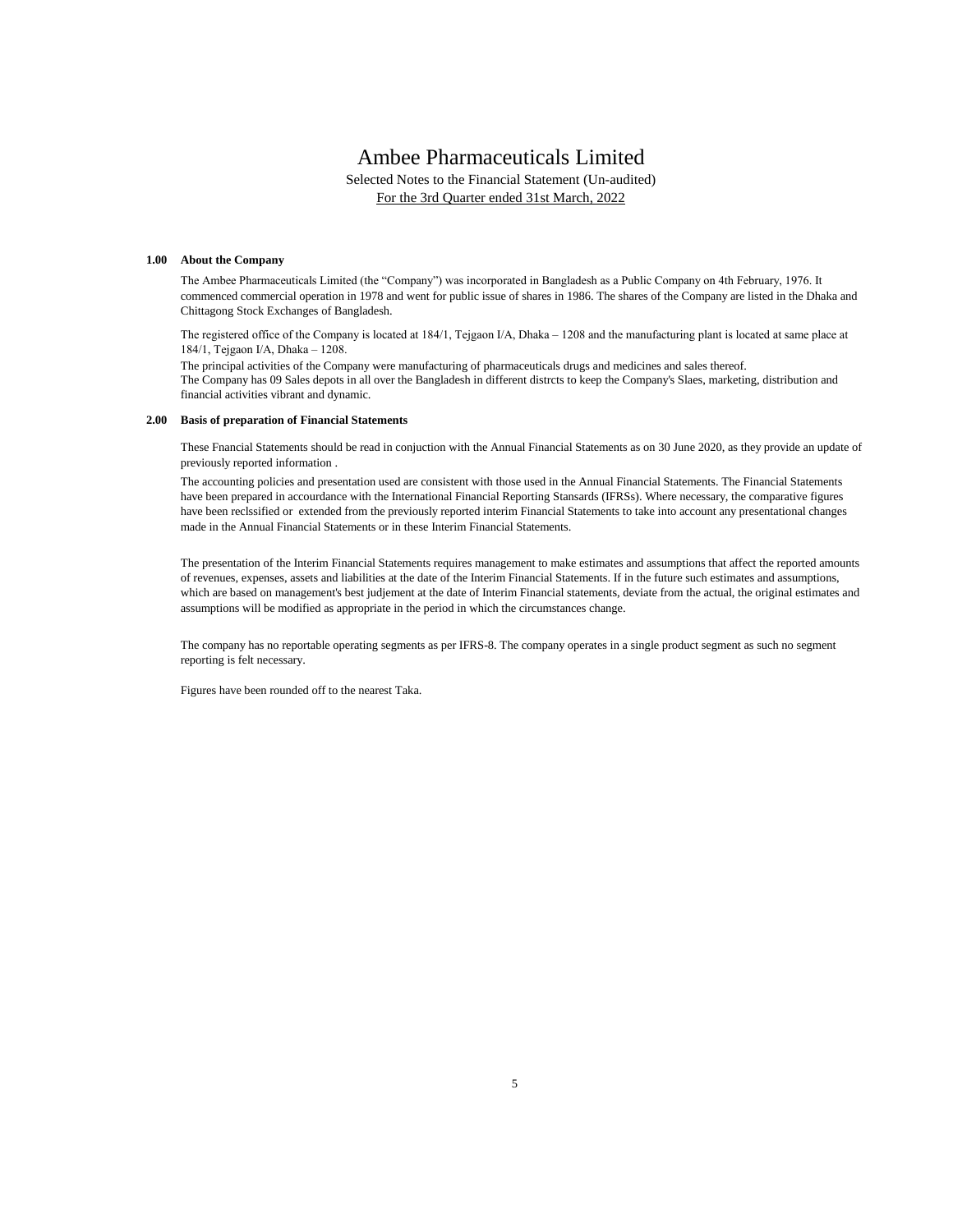Selected Notes to the Financial Statement (Un-audited) For the 3rd Quarter ended 31st March, 2022

#### **1.00 About the Company**

The Ambee Pharmaceuticals Limited (the "Company") was incorporated in Bangladesh as a Public Company on 4th February, 1976. It commenced commercial operation in 1978 and went for public issue of shares in 1986. The shares of the Company are listed in the Dhaka and Chittagong Stock Exchanges of Bangladesh.

The registered office of the Company is located at 184/1, Tejgaon I/A, Dhaka – 1208 and the manufacturing plant is located at same place at 184/1, Tejgaon I/A, Dhaka – 1208.

The principal activities of the Company were manufacturing of pharmaceuticals drugs and medicines and sales thereof. The Company has 09 Sales depots in all over the Bangladesh in different distrcts to keep the Company's Slaes, marketing, distribution and financial activities vibrant and dynamic.

#### **2.00 Basis of preparation of Financial Statements**

These Fnancial Statements should be read in conjuction with the Annual Financial Statements as on 30 June 2020, as they provide an update of previously reported information .

The accounting policies and presentation used are consistent with those used in the Annual Financial Statements. The Financial Statements have been prepared in accourdance with the International Financial Reporting Stansards (IFRSs). Where necessary, the comparative figures have been reclssified or extended from the previously reported interim Financial Statements to take into account any presentational changes made in the Annual Financial Statements or in these Interim Financial Statements.

The presentation of the Interim Financial Statements requires management to make estimates and assumptions that affect the reported amounts of revenues, expenses, assets and liabilities at the date of the Interim Financial Statements. If in the future such estimates and assumptions, which are based on management's best judjement at the date of Interim Financial statements, deviate from the actual, the original estimates and assumptions will be modified as appropriate in the period in which the circumstances change.

The company has no reportable operating segments as per IFRS-8. The company operates in a single product segment as such no segment reporting is felt necessary.

Figures have been rounded off to the nearest Taka.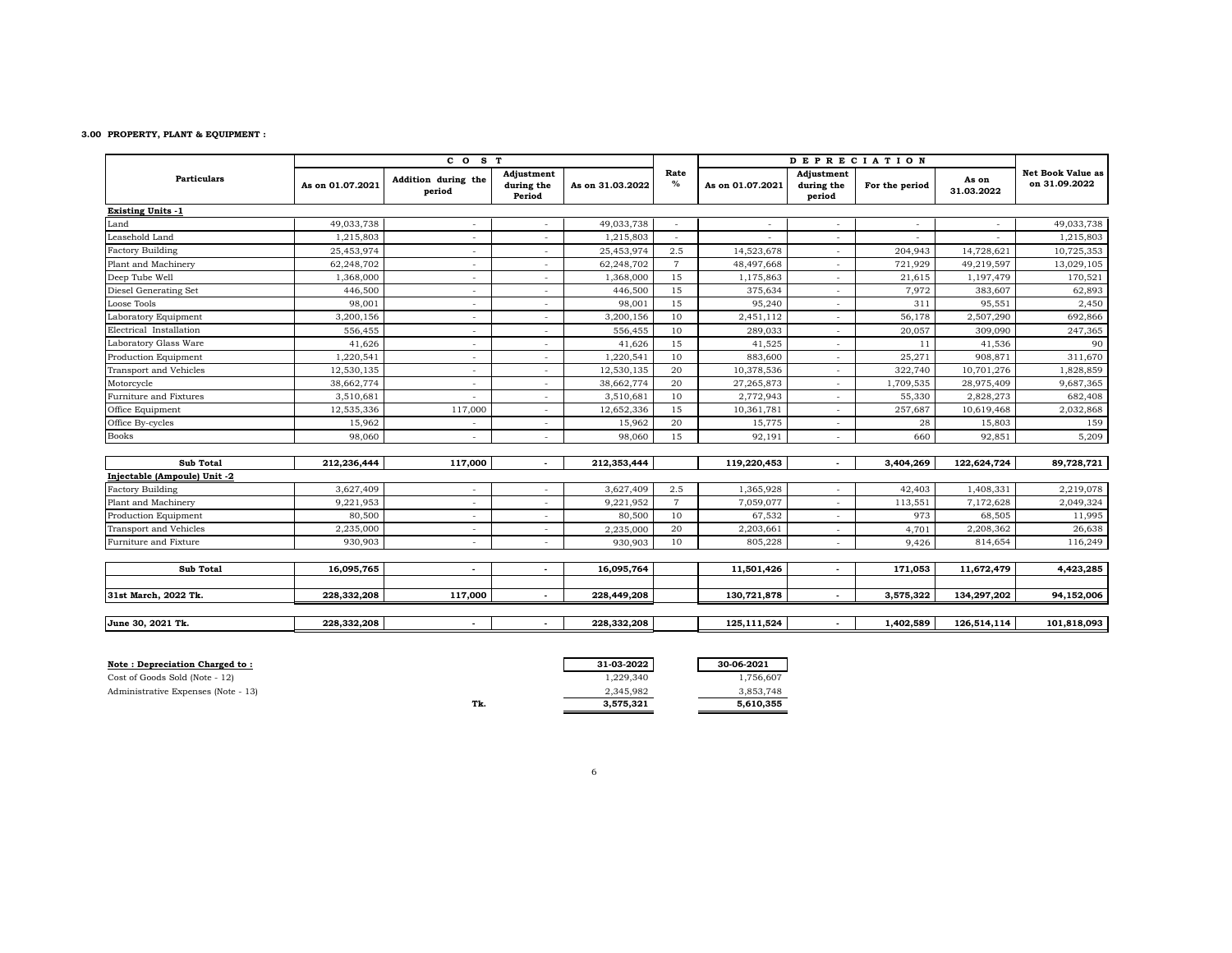#### **3.00 PROPERTY, PLANT & EQUIPMENT :**

|                              |                  | CO <sub>S</sub> T             |                                    |                  |                | <b>DEPRECIATION</b> |                                    |                |                     |                                           |
|------------------------------|------------------|-------------------------------|------------------------------------|------------------|----------------|---------------------|------------------------------------|----------------|---------------------|-------------------------------------------|
| <b>Particulars</b>           | As on 01.07.2021 | Addition during the<br>period | Adjustment<br>during the<br>Period | As on 31.03.2022 | Rate<br>$\%$   | As on 01.07.2021    | Adjustment<br>during the<br>period | For the period | As on<br>31.03.2022 | <b>Net Book Value as</b><br>on 31.09.2022 |
| <b>Existing Units -1</b>     |                  |                               |                                    |                  |                |                     |                                    |                |                     |                                           |
| Land                         | 49,033,738       |                               |                                    | 49,033,738       |                |                     | ٠                                  | $\sim$         |                     | 49,033,738                                |
| Leasehold Land               | 1,215,803        |                               |                                    | 1,215,803        |                |                     | ٠                                  |                |                     | 1,215,803                                 |
| <b>Factory Building</b>      | 25,453,974       |                               |                                    | 25,453,974       | 2.5            | 14,523,678          | $\overline{\phantom{a}}$           | 204,943        | 14,728,621          | 10,725,353                                |
| Plant and Machinery          | 62,248,702       |                               |                                    | 62,248,702       | $\overline{7}$ | 48,497,668          | $\overline{\phantom{a}}$           | 721,929        | 49,219,597          | 13,029,105                                |
| Deep Tube Well               | 1,368,000        | ٠                             |                                    | 1,368,000        | 15             | 1,175,863           | $\sim$                             | 21,615         | 1,197,479           | 170,521                                   |
| Diesel Generating Set        | 446,500          |                               |                                    | 446,500          | 15             | 375,634             | $\overline{\phantom{a}}$           | 7,972          | 383,607             | 62,893                                    |
| Loose Tools                  | 98,001           | ٠                             |                                    | 98,001           | 15             | 95,240              | $\overline{\phantom{a}}$           | 311            | 95,551              | 2,450                                     |
| Laboratory Equipment         | 3,200,156        | $\overline{\phantom{a}}$      |                                    | 3,200,156        | 10             | 2,451,112           | $\overline{\phantom{a}}$           | 56,178         | 2,507,290           | 692,866                                   |
| Electrical Installation      | 556,455          | $\overline{\phantom{a}}$      | $\sim$                             | 556,455          | 10             | 289,033             | $\overline{\phantom{a}}$           | 20,057         | 309,090             | 247,365                                   |
| Laboratory Glass Ware        | 41,626           | ٠                             |                                    | 41,626           | 15             | 41,525              | $\overline{\phantom{a}}$           | 11             | 41,536              | 90                                        |
| Production Equipment         | 1,220,541        | $\overline{\phantom{a}}$      | $\sim$                             | 1,220,541        | 10             | 883,600             | $\overline{\phantom{a}}$           | 25,271         | 908,871             | 311,670                                   |
| Transport and Vehicles       | 12,530,135       | $\overline{\phantom{a}}$      | $\sim$                             | 12,530,135       | 20             | 10,378,536          | $\overline{\phantom{a}}$           | 322,740        | 10,701,276          | 1,828,859                                 |
| Motorcycle                   | 38,662,774       | $\overline{\phantom{a}}$      |                                    | 38,662,774       | 20             | 27,265,873          | $\overline{\phantom{a}}$           | 1,709,535      | 28,975,409          | 9,687,365                                 |
| Furniture and Fixtures       | 3,510,681        |                               | $\sim$                             | 3,510,681        | 10             | 2,772,943           | $\overline{\phantom{a}}$           | 55,330         | 2,828,273           | 682,408                                   |
| Office Equipment             | 12,535,336       | 117,000                       | $\sim$                             | 12,652,336       | 15             | 10,361,781          | $\overline{\phantom{a}}$           | 257,687        | 10,619,468          | 2,032,868                                 |
| Office By-cycles             | 15,962           | $\overline{\phantom{a}}$      | $\sim$                             | 15,962           | 20             | 15,775              | $\overline{\phantom{a}}$           | 28             | 15,803              | 159                                       |
| <b>Books</b>                 | 98,060           | $\overline{\phantom{a}}$      |                                    | 98,060           | 15             | 92,191              | $\overline{\phantom{a}}$           | 660            | 92,851              | 5,209                                     |
| <b>Sub Total</b>             | 212,236,444      | 117,000                       | $\overline{\phantom{a}}$           | 212,353,444      |                | 119,220,453         | $\overline{\phantom{a}}$           | 3,404,269      | 122,624,724         | 89,728,721                                |
| Injectable (Ampoule) Unit -2 |                  |                               |                                    |                  |                |                     |                                    |                |                     |                                           |
| <b>Factory Building</b>      | 3,627,409        | $\overline{\phantom{a}}$      | $\overline{\phantom{a}}$           | 3,627,409        | 2.5            | 1,365,928           | $\overline{a}$                     | 42,403         | 1,408,331           | 2,219,078                                 |
| Plant and Machinery          | 9,221,953        | $\overline{\phantom{a}}$      | $\sim$                             | 9,221,952        | $\overline{7}$ | 7,059,077           | $\overline{\phantom{a}}$           | 113,551        | 7,172,628           | 2,049,324                                 |
| Production Equipment         | 80,500           | $\overline{\phantom{a}}$      | $\overline{\phantom{a}}$           | 80,500           | 10             | 67,532              | ٠                                  | 973            | 68,505              | 11,995                                    |
| Transport and Vehicles       | 2,235,000        | $\overline{\phantom{a}}$      | $\sim$                             | 2,235,000        | 20             | 2,203,661           | $\overline{\phantom{a}}$           | 4,701          | 2,208,362           | 26,638                                    |
| Furniture and Fixture        | 930,903          | $\overline{\phantom{a}}$      | $\sim$                             | 930,903          | 10             | 805,228             | $\overline{\phantom{a}}$           | 9,426          | 814,654             | 116,249                                   |
| <b>Sub Total</b>             | 16,095,765       | $\overline{\phantom{a}}$      | $\overline{\phantom{a}}$           | 16,095,764       |                | 11,501,426          | $\overline{\phantom{a}}$           | 171,053        | 11,672,479          | 4,423,285                                 |
| 31st March, 2022 Tk.         | 228,332,208      | 117,000                       | $\overline{\phantom{a}}$           | 228,449,208      |                | 130,721,878         | $\blacksquare$                     | 3,575,322      | 134,297,202         | 94,152,006                                |
| June 30, 2021 Tk.            | 228,332,208      | $\overline{\phantom{a}}$      | $\sim$                             | 228,332,208      |                | 125,111,524         | $\sim$                             | 1,402,589      | 126,514,114         | 101,818,093                               |

| Note: Depreciation Charged to:      |     | 31-03-2022 | 30-06-2021 |
|-------------------------------------|-----|------------|------------|
| Cost of Goods Sold (Note - 12)      |     | 1,229,340  | 1,756,607  |
| Administrative Expenses (Note - 13) |     | 2.345.982  | 3,853,748  |
|                                     | Tk. | 3,575,321  | 5,610,355  |

|     | 31-03-2022 | 30-06-2021 |
|-----|------------|------------|
|     | 1,229,340  | 1,756,607  |
|     | 2.345.982  | 3,853,748  |
| Tk. | 3,575,321  | 5,610,355  |
|     |            |            |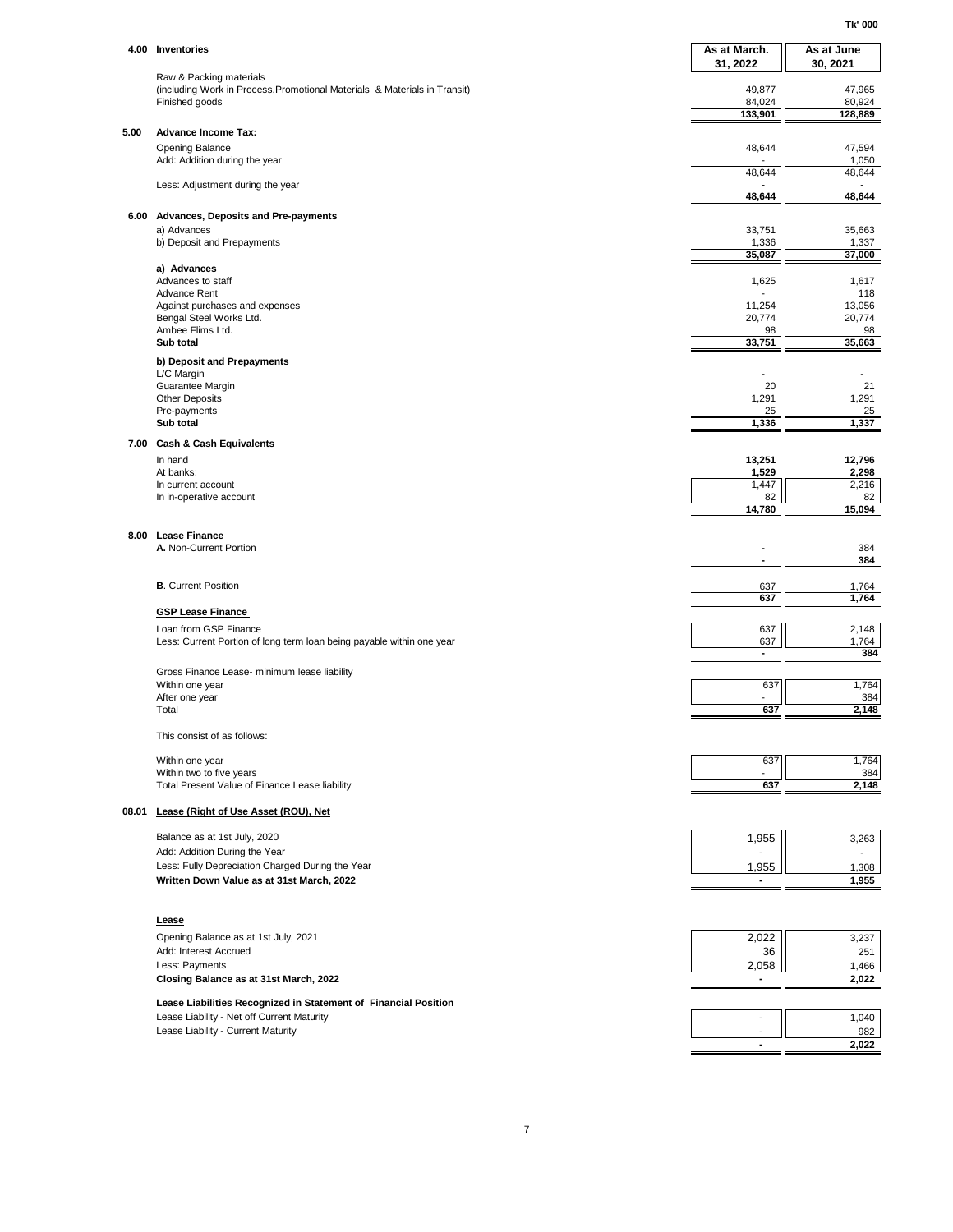**Tk' 000**

|      | 4.00 Inventories                                                                                     | As at March.          | As at June      |
|------|------------------------------------------------------------------------------------------------------|-----------------------|-----------------|
|      |                                                                                                      | 31, 2022              | 30, 2021        |
|      | Raw & Packing materials<br>(including Work in Process, Promotional Materials & Materials in Transit) | 49,877                | 47,965          |
|      | Finished goods                                                                                       | 84,024                | 80,924          |
|      |                                                                                                      | 133,901               | 128,889         |
| 5.00 | <b>Advance Income Tax:</b><br><b>Opening Balance</b>                                                 | 48,644                | 47,594          |
|      | Add: Addition during the year                                                                        |                       | 1,050           |
|      | Less: Adjustment during the year                                                                     | 48,644                | 48,644          |
|      |                                                                                                      | 48,644                | 48,644          |
|      | 6.00 Advances, Deposits and Pre-payments                                                             |                       |                 |
|      | a) Advances<br>b) Deposit and Prepayments                                                            | 33,751                | 35,663          |
|      |                                                                                                      | 1,336<br>35,087       | 1,337<br>37,000 |
|      | a) Advances                                                                                          |                       |                 |
|      | Advances to staff<br><b>Advance Rent</b>                                                             | 1,625                 | 1,617<br>118    |
|      | Against purchases and expenses                                                                       | 11,254                | 13,056          |
|      | Bengal Steel Works Ltd.<br>Ambee Flims Ltd.                                                          | 20,774<br>98          | 20,774<br>98    |
|      | Sub total                                                                                            | 33,751                | 35,663          |
|      | b) Deposit and Prepayments                                                                           |                       |                 |
|      | L/C Margin<br>Guarantee Margin                                                                       | 20                    | 21              |
|      | <b>Other Deposits</b>                                                                                | 1,291                 | 1,291           |
|      | Pre-payments<br>Sub total                                                                            | 25<br>1,336           | 25<br>1,337     |
|      | 7.00 Cash & Cash Equivalents                                                                         |                       |                 |
|      | In hand                                                                                              | 13,251                | 12,796          |
|      | At banks:<br>In current account                                                                      | 1,529<br>1,447        | 2,298<br>2,216  |
|      | In in-operative account                                                                              | 82                    | 82              |
|      |                                                                                                      | 14,780                | 15,094          |
| 8.00 | <b>Lease Finance</b>                                                                                 |                       |                 |
|      | A. Non-Current Portion                                                                               | $\blacksquare$        | 384<br>384      |
|      |                                                                                                      |                       |                 |
|      | <b>B.</b> Current Position                                                                           | 637<br>637            | 1,764<br>1,764  |
|      | <b>GSP Lease Finance</b>                                                                             |                       |                 |
|      | Loan from GSP Finance                                                                                | 637                   | 2,148           |
|      | Less: Current Portion of long term loan being payable within one year                                | 637<br>$\blacksquare$ | 1,764<br>384    |
|      | Gross Finance Lease- minimum lease liability                                                         |                       |                 |
|      | Within one year                                                                                      | 637                   | 1,764           |
|      | After one year<br>Total                                                                              | 637                   | 384<br>2,148    |
|      |                                                                                                      |                       |                 |
|      | This consist of as follows:                                                                          |                       |                 |
|      | Within one year                                                                                      | 637                   | 1,764           |
|      | Within two to five years<br>Total Present Value of Finance Lease liability                           | 637                   | 384<br>2,148    |
|      | 08.01 Lease (Right of Use Asset (ROU), Net                                                           |                       |                 |
|      |                                                                                                      |                       |                 |
|      | Balance as at 1st July, 2020<br>Add: Addition During the Year                                        | 1,955                 | 3,263           |
|      | Less: Fully Depreciation Charged During the Year                                                     | 1,955                 | 1,308           |
|      | Written Down Value as at 31st March, 2022                                                            | ۰                     | 1,955           |
|      |                                                                                                      |                       |                 |
|      | Lease                                                                                                |                       |                 |
|      | Opening Balance as at 1st July, 2021                                                                 | 2,022                 | 3,237           |
|      | Add: Interest Accrued<br>Less: Payments                                                              | 36<br>2,058           | 251<br>1,466    |
|      | Closing Balance as at 31st March, 2022                                                               | ٠                     | 2,022           |
|      | Lease Liabilities Recognized in Statement of Financial Position                                      |                       |                 |
|      | Lease Liability - Net off Current Maturity                                                           | $\blacksquare$        | 1,040           |
|      | Lease Liability - Current Maturity                                                                   |                       | 982             |
|      |                                                                                                      | ٠                     | 2,022           |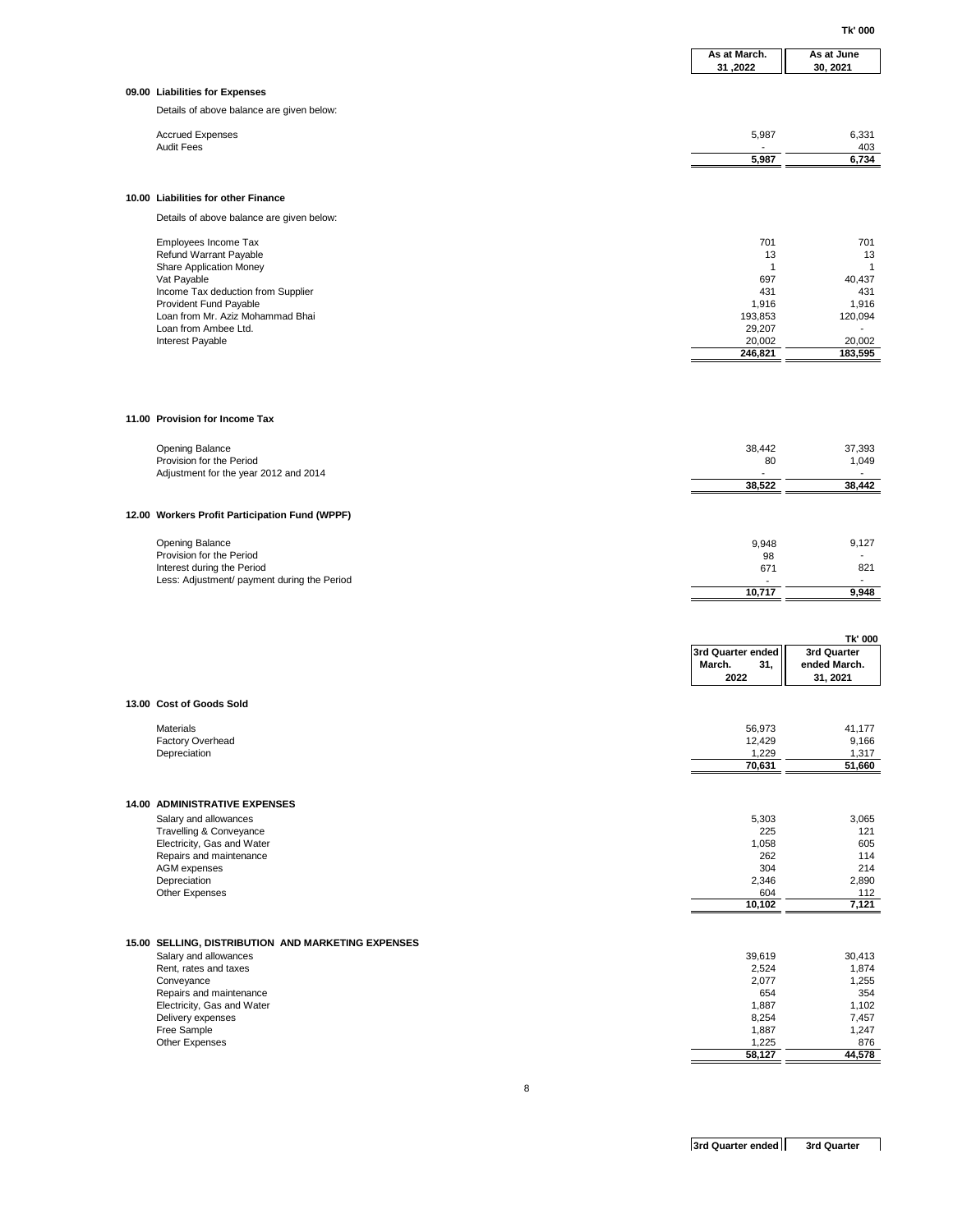**Tk' 000**

|                                                                           | As at March.<br>31,2022            | As at June<br>30, 2021      |
|---------------------------------------------------------------------------|------------------------------------|-----------------------------|
| 09.00 Liabilities for Expenses                                            |                                    |                             |
| Details of above balance are given below:                                 |                                    |                             |
| <b>Accrued Expenses</b>                                                   | 5,987                              | 6,331                       |
| <b>Audit Fees</b>                                                         | 5,987                              | 403<br>6,734                |
|                                                                           |                                    |                             |
| 10.00 Liabilities for other Finance                                       |                                    |                             |
| Details of above balance are given below:                                 |                                    |                             |
| Employees Income Tax                                                      | 701                                | 701                         |
| Refund Warrant Payable                                                    | 13                                 | 13                          |
| Share Application Money<br>Vat Payable                                    | $\mathbf{1}$<br>697                | $\mathbf{1}$<br>40,437      |
| Income Tax deduction from Supplier                                        | 431                                | 431                         |
| Provident Fund Payable<br>Loan from Mr. Aziz Mohammad Bhai                | 1,916<br>193,853                   | 1,916<br>120,094            |
| Loan from Ambee Ltd.<br>Interest Payable                                  | 29,207<br>20,002                   | 20,002                      |
|                                                                           | 246,821                            | 183,595                     |
|                                                                           |                                    |                             |
|                                                                           |                                    |                             |
| 11.00 Provision for Income Tax                                            |                                    |                             |
|                                                                           |                                    |                             |
| <b>Opening Balance</b><br>Provision for the Period                        | 38,442<br>80                       | 37,393<br>1,049             |
| Adjustment for the year 2012 and 2014                                     | ä,<br>38,522                       | 38,442                      |
|                                                                           |                                    |                             |
| 12.00 Workers Profit Participation Fund (WPPF)                            |                                    |                             |
| <b>Opening Balance</b>                                                    | 9,948                              | 9,127                       |
| Provision for the Period                                                  | 98                                 |                             |
| Interest during the Period<br>Less: Adjustment/ payment during the Period | 671                                | 821                         |
|                                                                           | 10,717                             | 9,948                       |
|                                                                           |                                    |                             |
|                                                                           |                                    | Tk' 000                     |
|                                                                           | 3rd Quarter ended<br>March.<br>31, | 3rd Quarter<br>ended March. |
|                                                                           | 2022                               | 31, 2021                    |
| 13.00 Cost of Goods Sold                                                  |                                    |                             |
| <b>Materials</b>                                                          | 56,973                             | 41,177                      |
| Factory Overhead<br>Depreciation                                          | 12,429                             | 9,166                       |
|                                                                           | 1,229<br>70,631                    | 1,317<br>51,660             |
|                                                                           |                                    |                             |
| 14.00 ADMINISTRATIVE EXPENSES                                             |                                    |                             |
| Salary and allowances<br>Travelling & Conveyance                          | 5,303<br>225                       | 3,065<br>121                |
| Electricity, Gas and Water                                                | 1,058                              | 605                         |
| Repairs and maintenance<br>AGM expenses                                   | 262<br>304                         | 114<br>214                  |
| Depreciation<br>Other Expenses                                            | 2,346<br>604                       | 2,890<br>112                |
|                                                                           | 10,102                             | 7,121                       |
|                                                                           |                                    |                             |
| 15.00 SELLING, DISTRIBUTION AND MARKETING EXPENSES                        |                                    |                             |
| Salary and allowances<br>Rent, rates and taxes                            | 39,619<br>2,524                    | 30,413<br>1,874             |
| Conveyance                                                                | 2,077                              | 1,255                       |
| Repairs and maintenance<br>Electricity, Gas and Water                     | 654<br>1,887                       | 354<br>1,102                |
| Delivery expenses<br>Free Sample                                          | 8,254<br>1,887                     | 7,457<br>1,247              |
| Other Expenses                                                            | 1,225                              | 876                         |
|                                                                           | 58,127                             | 44,578                      |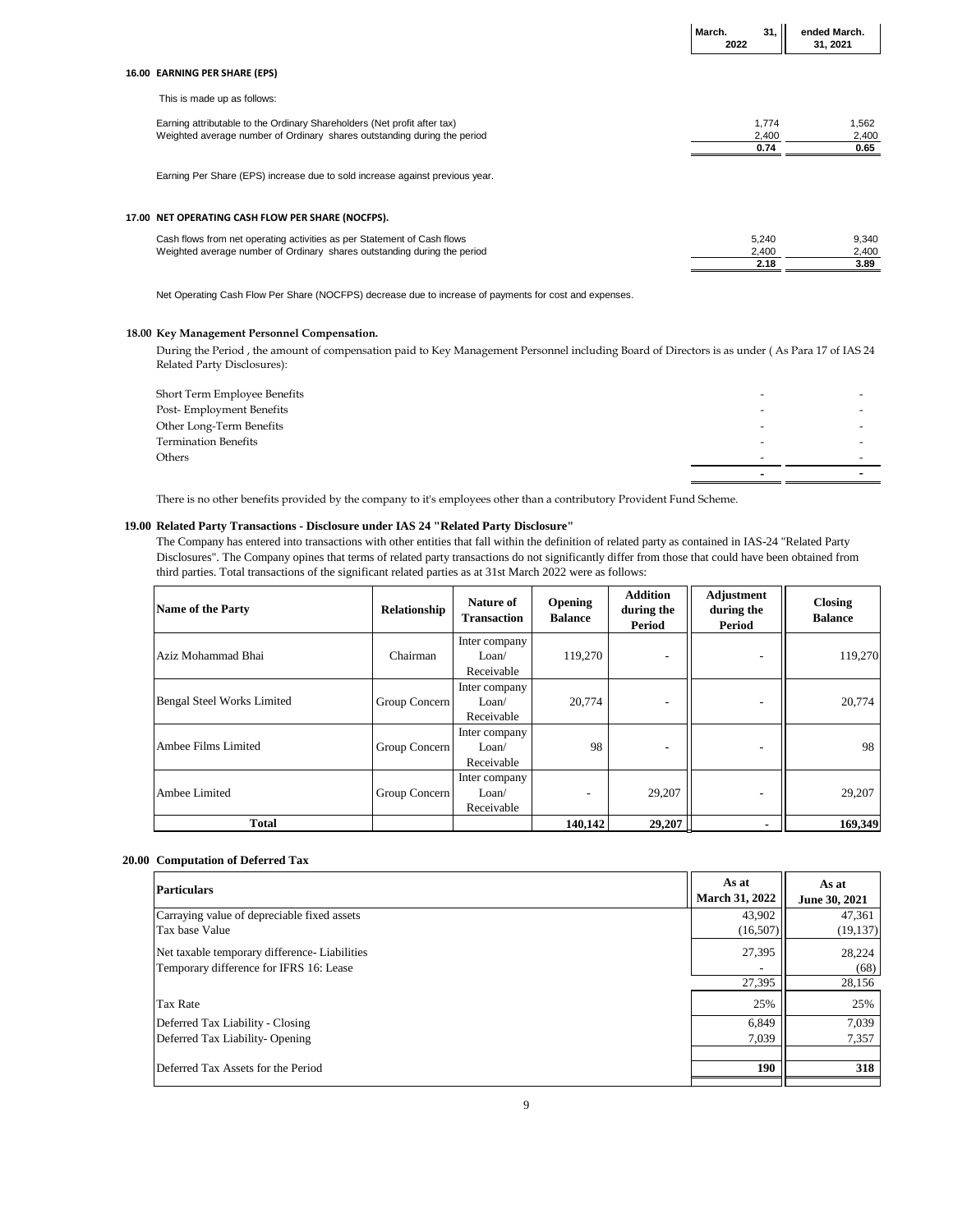|                                                                                                                                                      | March.<br>2022 | 31.                    | ended March.<br>31, 2021 |
|------------------------------------------------------------------------------------------------------------------------------------------------------|----------------|------------------------|--------------------------|
| 16.00 EARNING PER SHARE (EPS)                                                                                                                        |                |                        |                          |
| This is made up as follows:                                                                                                                          |                |                        |                          |
| Earning attributable to the Ordinary Shareholders (Net profit after tax)<br>Weighted average number of Ordinary shares outstanding during the period |                | 1,774<br>2,400<br>0.74 | 1,562<br>2,400<br>0.65   |
| Earning Per Share (EPS) increase due to sold increase against previous year.                                                                         |                |                        |                          |
| 17.00 NET OPERATING CASH FLOW PER SHARE (NOCFPS).                                                                                                    |                |                        |                          |
| Cash flows from net operating activities as per Statement of Cash flows<br>Weighted average number of Ordinary shares outstanding during the period  |                | 5,240<br>2,400<br>2.18 | 9,340<br>2,400<br>3.89   |
| Net Operating Cash Flow Per Share (NOCFPS) decrease due to increase of payments for cost and expenses.                                               |                |                        |                          |

**3rd Quarter ended** 

l,

#### **18.00 Key Management Personnel Compensation.**

During the Period , the amount of compensation paid to Key Management Personnel including Board of Directors is as under ( As Para 17 of IAS 24 Related Party Disclosures):

| Short Term Employee Benefits |                          |  |
|------------------------------|--------------------------|--|
| Post-Employment Benefits     |                          |  |
| Other Long-Term Benefits     |                          |  |
| <b>Termination Benefits</b>  | $\overline{\phantom{0}}$ |  |
| Others                       | -                        |  |
|                              |                          |  |
|                              |                          |  |

There is no other benefits provided by the company to it's employees other than a contributory Provident Fund Scheme.

#### **19.00 Related Party Transactions - Disclosure under IAS 24 "Related Party Disclosure"**

The Company has entered into transactions with other entities that fall within the definition of related party as contained in IAS-24 "Related Party Disclosures". The Company opines that terms of related party transactions do not significantly differ from those that could have been obtained from third parties. Total transactions of the significant related parties as at 31st March 2022 were as follows:

| Name of the Party                 | Relationship  | Nature of<br><b>Transaction</b>      | <b>Opening</b><br><b>Balance</b> | <b>Addition</b><br>during the<br>Period | Adjustment<br>during the<br>Period | <b>Closing</b><br><b>Balance</b> |
|-----------------------------------|---------------|--------------------------------------|----------------------------------|-----------------------------------------|------------------------------------|----------------------------------|
| Aziz Mohammad Bhai                | Chairman      | Inter company<br>Loan/<br>Receivable | 119,270                          |                                         |                                    | 119,270                          |
| <b>Bengal Steel Works Limited</b> | Group Concern | Inter company<br>Loan/<br>Receivable | 20,774                           |                                         |                                    | 20,774                           |
| Ambee Films Limited               | Group Concern | Inter company<br>Loan/<br>Receivable | 98                               |                                         |                                    | 98                               |
| Ambee Limited                     | Group Concern | Inter company<br>Loan/<br>Receivable |                                  | 29,207                                  | -                                  | 29,207                           |
| <b>Total</b>                      |               |                                      | 140,142                          | 29,207                                  |                                    | 169,349                          |

#### **20.00 Computation of Deferred Tax**

| As at<br><b>March 31, 2022</b> | As at<br>June 30, 2021 |
|--------------------------------|------------------------|
| 43,902                         | 47,361                 |
| (16,507)                       | (19, 137)              |
| 27,395                         | 28,224                 |
|                                | (68)                   |
| 27,395                         | 28,156                 |
| 25%                            | 25%                    |
| 6,849                          | 7,039                  |
| 7,039                          | 7,357                  |
| 190                            | 318                    |
|                                |                        |